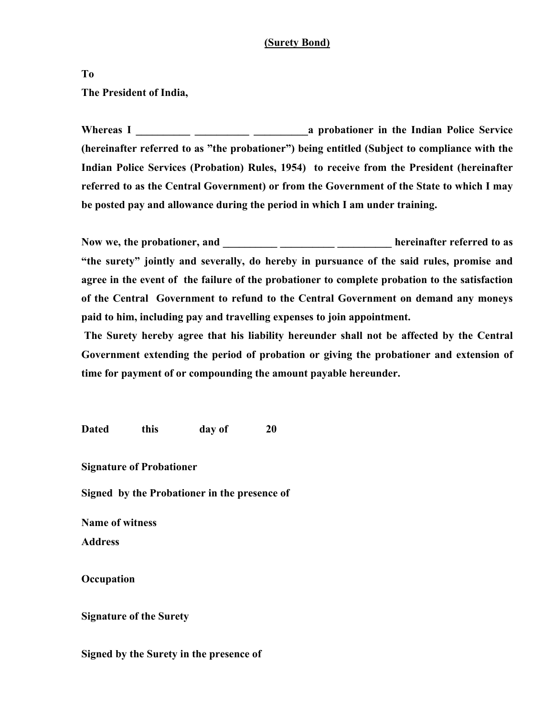## **(Surety Bond)**

**To The President of India,** 

**Whereas I \_\_\_\_\_\_\_\_\_\_ \_\_\_\_\_\_\_\_\_\_ \_\_\_\_\_\_\_\_\_\_a probationer in the Indian Police Service (hereinafter referred to as "the probationer") being entitled (Subject to compliance with the Indian Police Services (Probation) Rules, 1954) to receive from the President (hereinafter referred to as the Central Government) or from the Government of the State to which I may be posted pay and allowance during the period in which I am under training.** 

**Now we, the probationer, and \_\_\_\_\_\_\_\_\_\_ \_\_\_\_\_\_\_\_\_\_ \_\_\_\_\_\_\_\_\_\_ hereinafter referred to as "the surety" jointly and severally, do hereby in pursuance of the said rules, promise and agree in the event of the failure of the probationer to complete probation to the satisfaction of the Central Government to refund to the Central Government on demand any moneys paid to him, including pay and travelling expenses to join appointment.** 

 **The Surety hereby agree that his liability hereunder shall not be affected by the Central Government extending the period of probation or giving the probationer and extension of time for payment of or compounding the amount payable hereunder.** 

**Dated this day of 20** 

**Signature of Probationer** 

**Signed by the Probationer in the presence of** 

**Name of witness** 

**Address** 

**Occupation** 

**Signature of the Surety** 

**Signed by the Surety in the presence of**